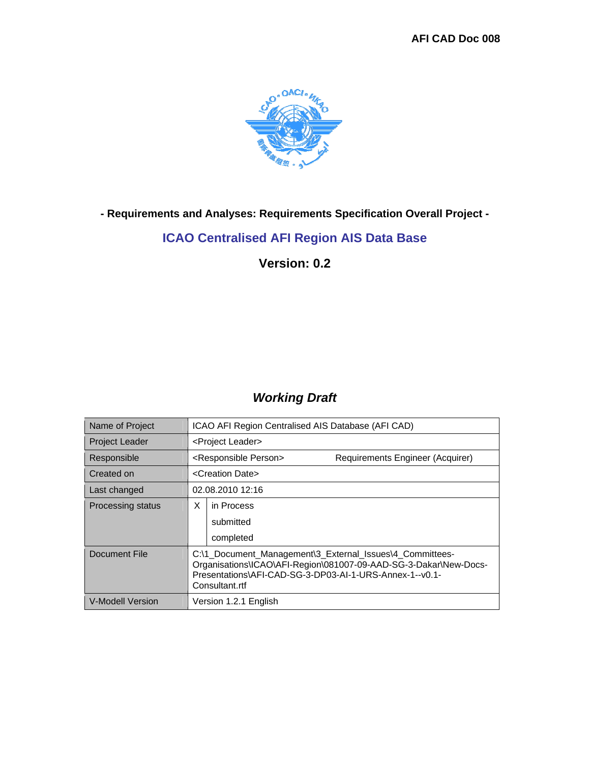

**- Requirements and Analyses: Requirements Specification Overall Project -** 

### **ICAO Centralised AFI Region AIS Data Base**

**Version: 0.2** 

### *Working Draft*

| Name of Project          | ICAO AFI Region Centralised AIS Database (AFI CAD)                                                                                                                                                        |                               |  |
|--------------------------|-----------------------------------------------------------------------------------------------------------------------------------------------------------------------------------------------------------|-------------------------------|--|
| <b>Project Leader</b>    |                                                                                                                                                                                                           | <project leader=""></project> |  |
| Responsible              | <responsible person=""><br/>Requirements Engineer (Acquirer)</responsible>                                                                                                                                |                               |  |
| Created on               | <creation date=""></creation>                                                                                                                                                                             |                               |  |
| Last changed             | 02.08.2010 12:16                                                                                                                                                                                          |                               |  |
| <b>Processing status</b> | X                                                                                                                                                                                                         | in Process                    |  |
|                          |                                                                                                                                                                                                           | submitted                     |  |
|                          |                                                                                                                                                                                                           | completed                     |  |
| Document File            | C:\1_Document_Management\3_External_Issues\4_Committees-<br>Organisations\ICAO\AFI-Region\081007-09-AAD-SG-3-Dakar\New-Docs-<br>Presentations\AFI-CAD-SG-3-DP03-AI-1-URS-Annex-1--v0.1-<br>Consultant.rtf |                               |  |
| V-Modell Version         | Version 1.2.1 English                                                                                                                                                                                     |                               |  |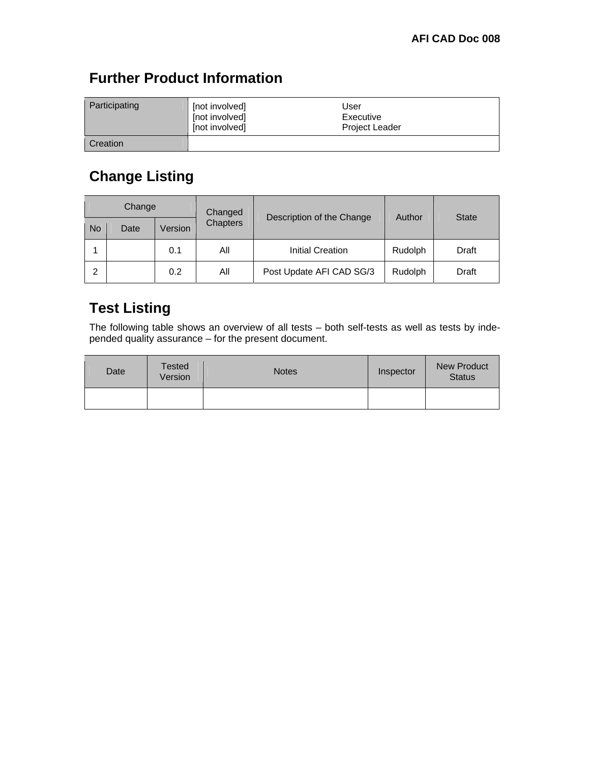# **Further Product Information**

| Participating   | [not involved]<br>[not involved]<br>[not involved] | User<br>Executive<br><b>Project Leader</b> |
|-----------------|----------------------------------------------------|--------------------------------------------|
| <b>Creation</b> |                                                    |                                            |

# **Change Listing**

| Change |      |         | Changed         |                           |         |              |
|--------|------|---------|-----------------|---------------------------|---------|--------------|
| No     | Date | Version | <b>Chapters</b> | Description of the Change | Author  | <b>State</b> |
|        |      | 0.1     | All             | <b>Initial Creation</b>   | Rudolph | Draft        |
| っ      |      | 0.2     | All             | Post Update AFI CAD SG/3  | Rudolph | Draft        |

## **Test Listing**

The following table shows an overview of all tests – both self-tests as well as tests by independed quality assurance – for the present document.

| Date | <b>Tested</b><br>Version | <b>Notes</b> | Inspector | <b>New Product</b><br><b>Status</b> |
|------|--------------------------|--------------|-----------|-------------------------------------|
|      |                          |              |           |                                     |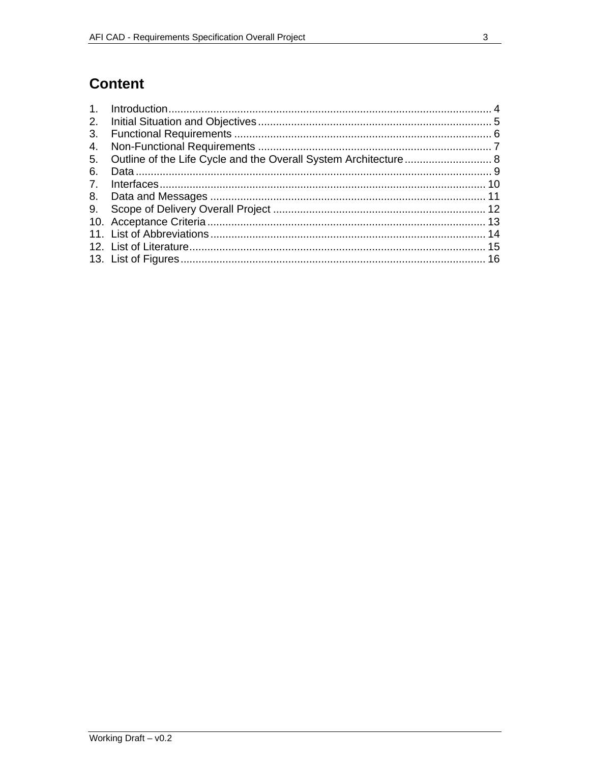## **Content**

| 2.             |  |
|----------------|--|
| 3.             |  |
| 4.             |  |
|                |  |
| 6.             |  |
| 7 <sub>1</sub> |  |
|                |  |
|                |  |
|                |  |
|                |  |
|                |  |
|                |  |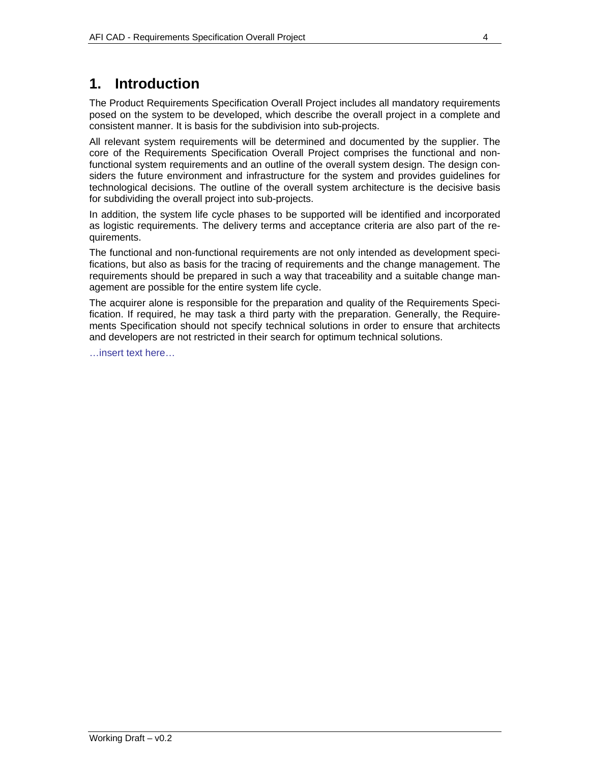## **1. Introduction**

The Product Requirements Specification Overall Project includes all mandatory requirements posed on the system to be developed, which describe the overall project in a complete and consistent manner. It is basis for the subdivision into sub-projects.

All relevant system requirements will be determined and documented by the supplier. The core of the Requirements Specification Overall Project comprises the functional and nonfunctional system requirements and an outline of the overall system design. The design considers the future environment and infrastructure for the system and provides guidelines for technological decisions. The outline of the overall system architecture is the decisive basis for subdividing the overall project into sub-projects.

In addition, the system life cycle phases to be supported will be identified and incorporated as logistic requirements. The delivery terms and acceptance criteria are also part of the requirements.

The functional and non-functional requirements are not only intended as development specifications, but also as basis for the tracing of requirements and the change management. The requirements should be prepared in such a way that traceability and a suitable change management are possible for the entire system life cycle.

The acquirer alone is responsible for the preparation and quality of the Requirements Specification. If required, he may task a third party with the preparation. Generally, the Requirements Specification should not specify technical solutions in order to ensure that architects and developers are not restricted in their search for optimum technical solutions.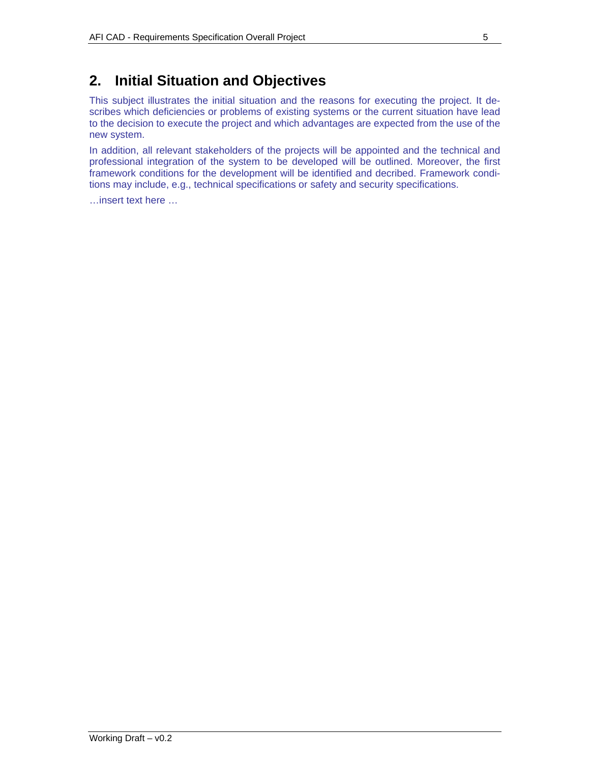## **2. Initial Situation and Objectives**

This subject illustrates the initial situation and the reasons for executing the project. It describes which deficiencies or problems of existing systems or the current situation have lead to the decision to execute the project and which advantages are expected from the use of the new system.

In addition, all relevant stakeholders of the projects will be appointed and the technical and professional integration of the system to be developed will be outlined. Moreover, the first framework conditions for the development will be identified and decribed. Framework conditions may include, e.g., technical specifications or safety and security specifications.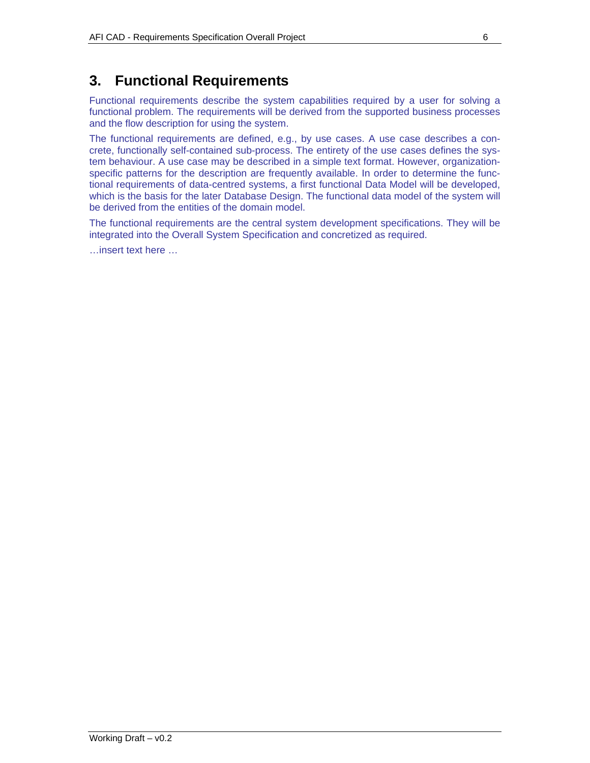## **3. Functional Requirements**

Functional requirements describe the system capabilities required by a user for solving a functional problem. The requirements will be derived from the supported business processes and the flow description for using the system.

The functional requirements are defined, e.g., by use cases. A use case describes a concrete, functionally self-contained sub-process. The entirety of the use cases defines the system behaviour. A use case may be described in a simple text format. However, organizationspecific patterns for the description are frequently available. In order to determine the functional requirements of data-centred systems, a first functional Data Model will be developed, which is the basis for the later Database Design. The functional data model of the system will be derived from the entities of the domain model.

The functional requirements are the central system development specifications. They will be integrated into the Overall System Specification and concretized as required.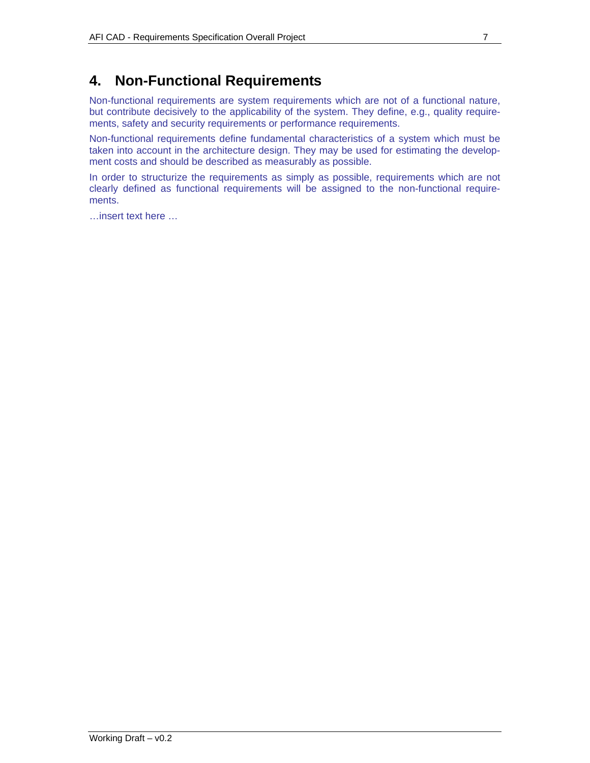## **4. Non-Functional Requirements**

Non-functional requirements are system requirements which are not of a functional nature, but contribute decisively to the applicability of the system. They define, e.g., quality requirements, safety and security requirements or performance requirements.

Non-functional requirements define fundamental characteristics of a system which must be taken into account in the architecture design. They may be used for estimating the development costs and should be described as measurably as possible.

In order to structurize the requirements as simply as possible, requirements which are not clearly defined as functional requirements will be assigned to the non-functional requirements.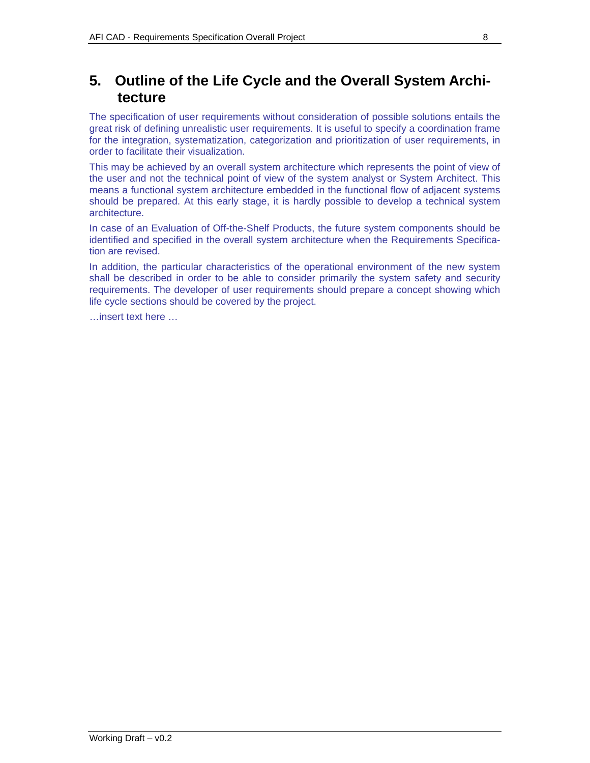### **5. Outline of the Life Cycle and the Overall System Architecture**

The specification of user requirements without consideration of possible solutions entails the great risk of defining unrealistic user requirements. It is useful to specify a coordination frame for the integration, systematization, categorization and prioritization of user requirements, in order to facilitate their visualization.

This may be achieved by an overall system architecture which represents the point of view of the user and not the technical point of view of the system analyst or System Architect. This means a functional system architecture embedded in the functional flow of adjacent systems should be prepared. At this early stage, it is hardly possible to develop a technical system architecture.

In case of an Evaluation of Off-the-Shelf Products, the future system components should be identified and specified in the overall system architecture when the Requirements Specification are revised.

In addition, the particular characteristics of the operational environment of the new system shall be described in order to be able to consider primarily the system safety and security requirements. The developer of user requirements should prepare a concept showing which life cycle sections should be covered by the project.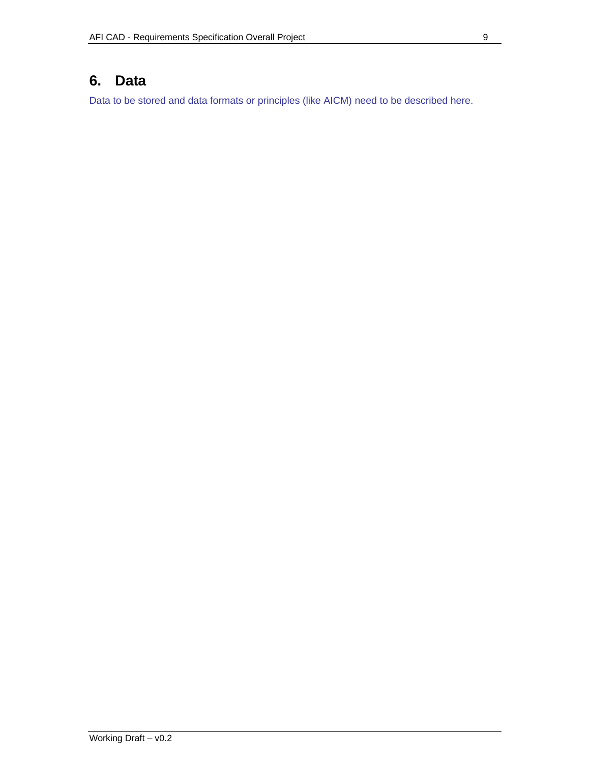### **6. Data**

Data to be stored and data formats or principles (like AICM) need to be described here.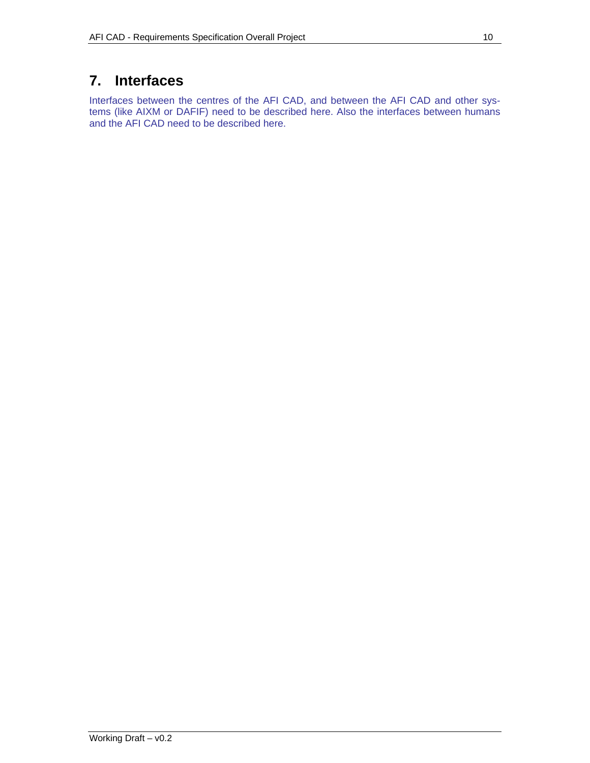## **7. Interfaces**

Interfaces between the centres of the AFI CAD, and between the AFI CAD and other systems (like AIXM or DAFIF) need to be described here. Also the interfaces between humans and the AFI CAD need to be described here.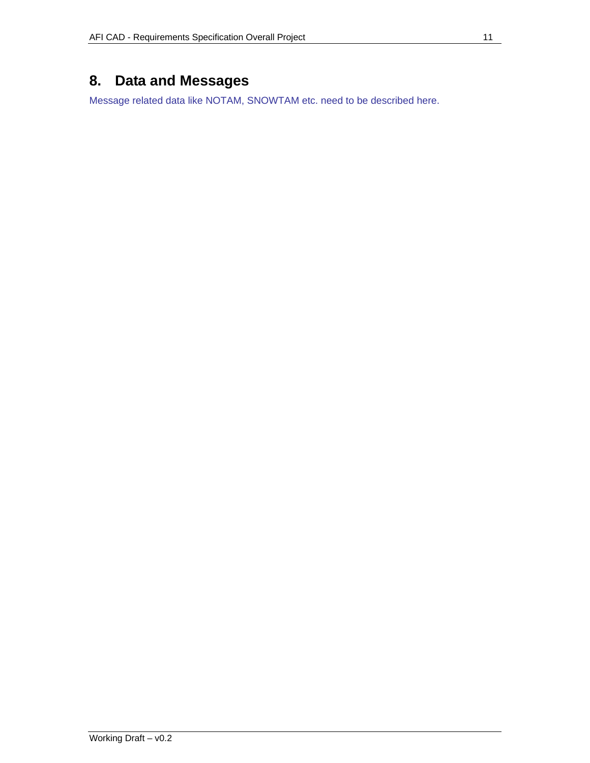## **8. Data and Messages**

Message related data like NOTAM, SNOWTAM etc. need to be described here.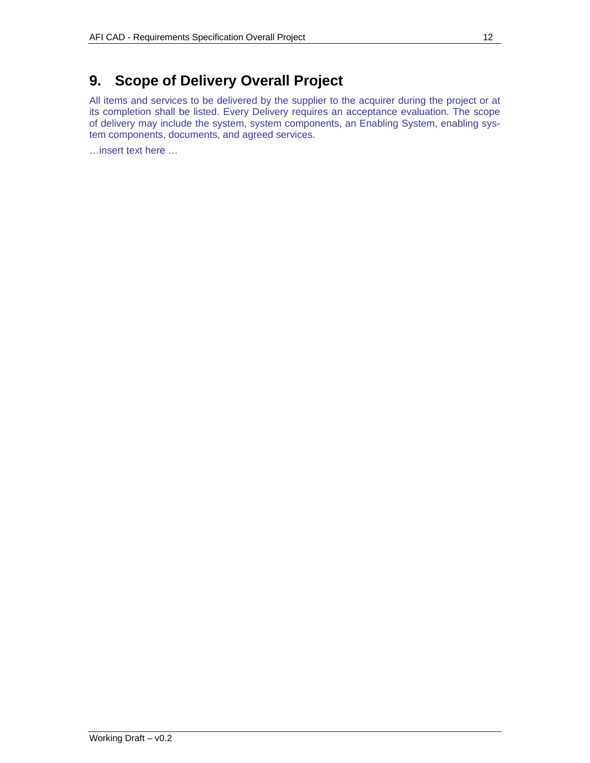## **9. Scope of Delivery Overall Project**

All items and services to be delivered by the supplier to the acquirer during the project or at its completion shall be listed. Every Delivery requires an acceptance evaluation. The scope of delivery may include the system, system components, an Enabling System, enabling system components, documents, and agreed services.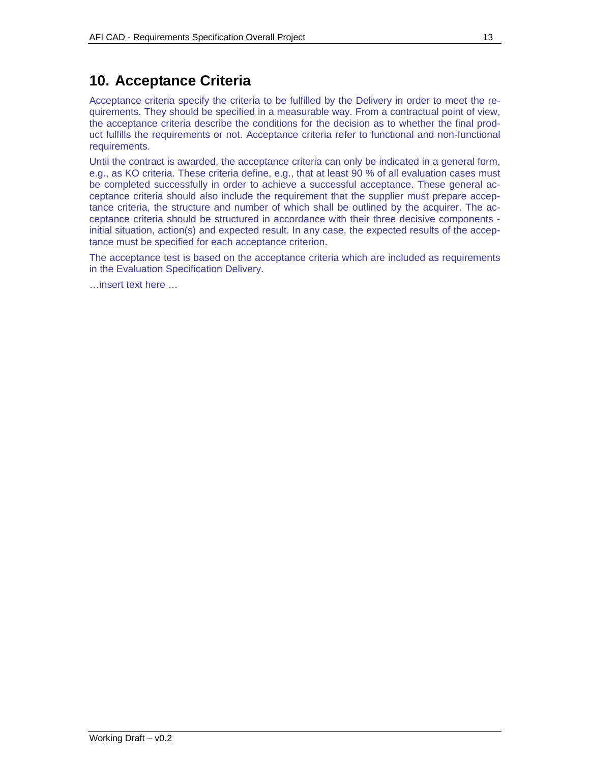## **10. Acceptance Criteria**

Acceptance criteria specify the criteria to be fulfilled by the Delivery in order to meet the requirements. They should be specified in a measurable way. From a contractual point of view, the acceptance criteria describe the conditions for the decision as to whether the final product fulfills the requirements or not. Acceptance criteria refer to functional and non-functional requirements.

Until the contract is awarded, the acceptance criteria can only be indicated in a general form, e.g., as KO criteria. These criteria define, e.g., that at least 90 % of all evaluation cases must be completed successfully in order to achieve a successful acceptance. These general acceptance criteria should also include the requirement that the supplier must prepare acceptance criteria, the structure and number of which shall be outlined by the acquirer. The acceptance criteria should be structured in accordance with their three decisive components initial situation, action(s) and expected result. In any case, the expected results of the acceptance must be specified for each acceptance criterion.

The acceptance test is based on the acceptance criteria which are included as requirements in the Evaluation Specification Delivery.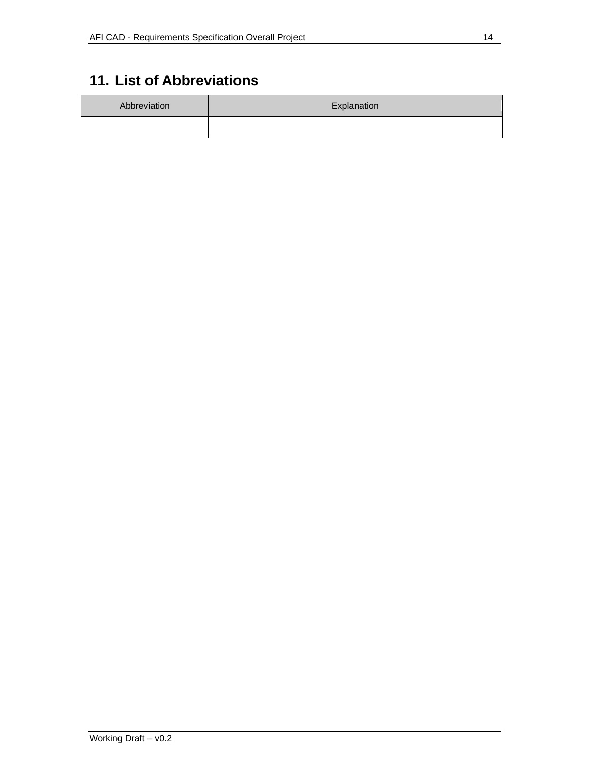# **11. List of Abbreviations**

| Abbreviation | Explanation |
|--------------|-------------|
|              |             |

 $\overline{a}$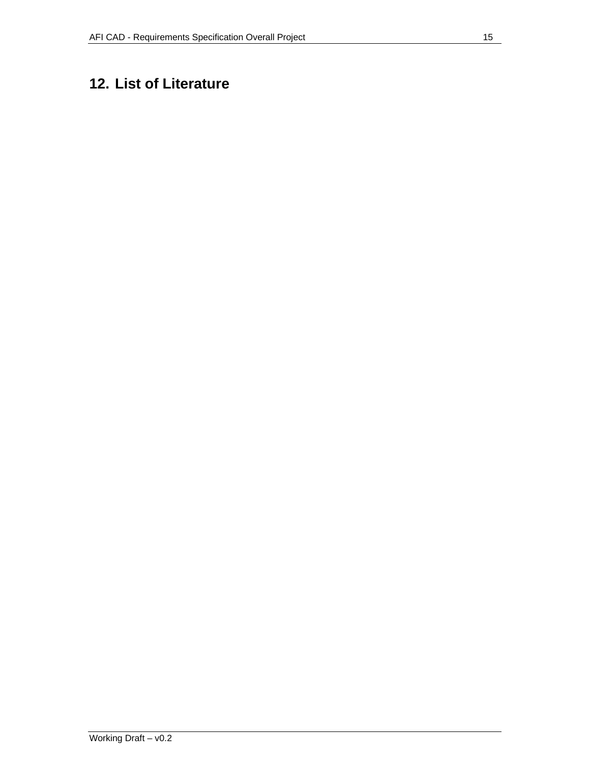# **12. List of Literature**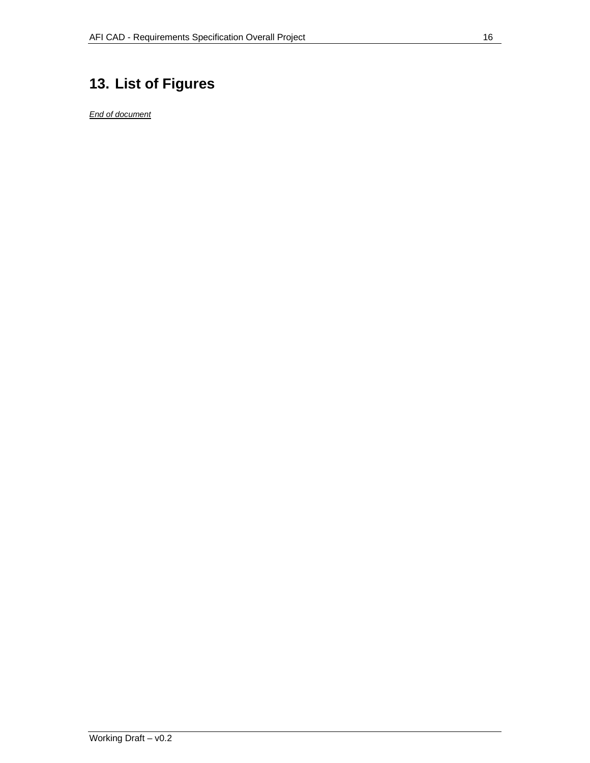# **13. List of Figures**

*End of document*